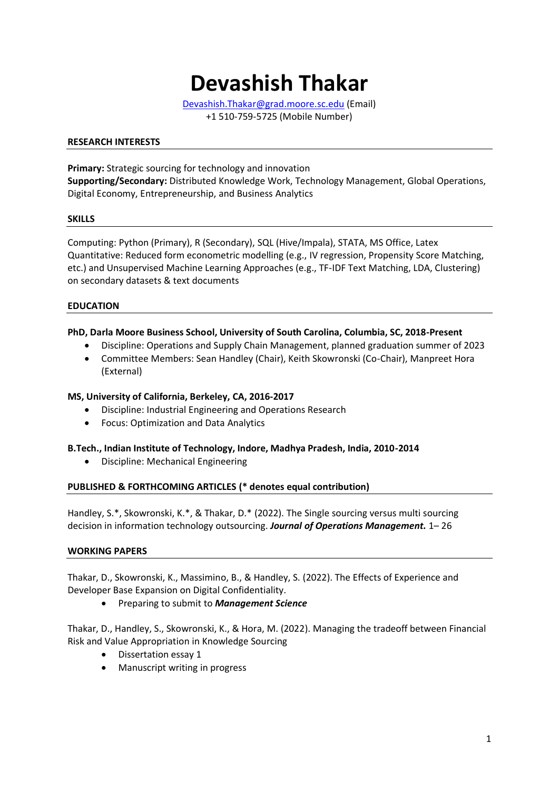# **Devashish Thakar**

[Devashish.Thakar@grad.moore.sc.edu](mailto:Devashish.Thakar@grad.moore.sc.edu) (Email) +1 510-759-5725 (Mobile Number)

#### **RESEARCH INTERESTS**

**Primary:** Strategic sourcing for technology and innovation **Supporting/Secondary:** Distributed Knowledge Work, Technology Management, Global Operations, Digital Economy, Entrepreneurship, and Business Analytics

#### **SKILLS**

Computing: Python (Primary), R (Secondary), SQL (Hive/Impala), STATA, MS Office, Latex Quantitative: Reduced form econometric modelling (e.g., IV regression, Propensity Score Matching, etc.) and Unsupervised Machine Learning Approaches (e.g., TF-IDF Text Matching, LDA, Clustering) on secondary datasets & text documents

#### **EDUCATION**

#### **PhD, Darla Moore Business School, University of South Carolina, Columbia, SC, 2018-Present**

- Discipline: Operations and Supply Chain Management, planned graduation summer of 2023
- Committee Members: Sean Handley (Chair), Keith Skowronski (Co-Chair), Manpreet Hora (External)

#### **MS, University of California, Berkeley, CA, 2016-2017**

- Discipline: Industrial Engineering and Operations Research
- Focus: Optimization and Data Analytics

#### **B.Tech., Indian Institute of Technology, Indore, Madhya Pradesh, India, 2010-2014**

• Discipline: Mechanical Engineering

#### **PUBLISHED & FORTHCOMING ARTICLES (\* denotes equal contribution)**

Handley, S.\*, Skowronski, K.\*, & Thakar, D.\* (2022). The Single sourcing versus multi sourcing decision in information technology outsourcing. *Journal of Operations Management.* 1– 26

#### **WORKING PAPERS**

Thakar, D., Skowronski, K., Massimino, B., & Handley, S. (2022). The Effects of Experience and Developer Base Expansion on Digital Confidentiality.

• Preparing to submit to *Management Science*

Thakar, D., Handley, S., Skowronski, K., & Hora, M. (2022). Managing the tradeoff between Financial Risk and Value Appropriation in Knowledge Sourcing

- Dissertation essay 1
- Manuscript writing in progress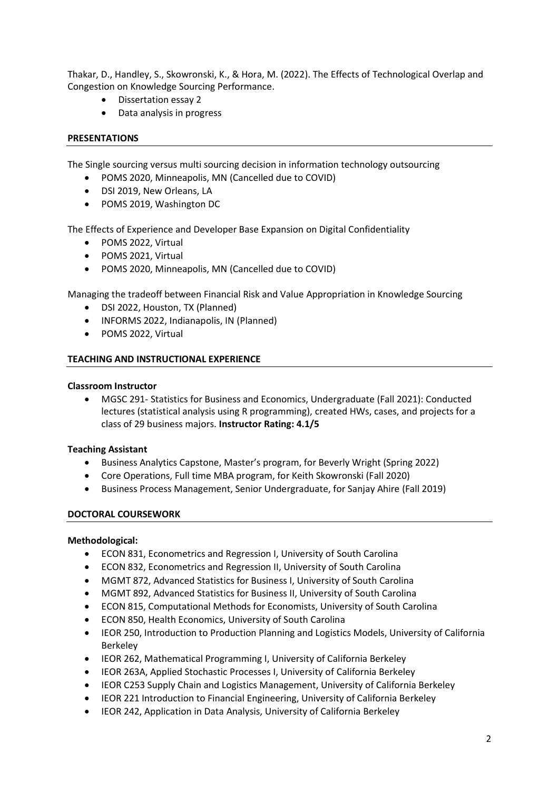Thakar, D., Handley, S., Skowronski, K., & Hora, M. (2022). The Effects of Technological Overlap and Congestion on Knowledge Sourcing Performance.

- Dissertation essay 2
- Data analysis in progress

## **PRESENTATIONS**

The Single sourcing versus multi sourcing decision in information technology outsourcing

- POMS 2020, Minneapolis, MN (Cancelled due to COVID)
- DSI 2019, New Orleans, LA
- POMS 2019, Washington DC

The Effects of Experience and Developer Base Expansion on Digital Confidentiality

- POMS 2022, Virtual
- POMS 2021, Virtual
- POMS 2020, Minneapolis, MN (Cancelled due to COVID)

Managing the tradeoff between Financial Risk and Value Appropriation in Knowledge Sourcing

- DSI 2022, Houston, TX (Planned)
- INFORMS 2022, Indianapolis, IN (Planned)
- POMS 2022, Virtual

#### **TEACHING AND INSTRUCTIONAL EXPERIENCE**

### **Classroom Instructor**

• MGSC 291- Statistics for Business and Economics, Undergraduate (Fall 2021): Conducted lectures (statistical analysis using R programming), created HWs, cases, and projects for a class of 29 business majors. **Instructor Rating: 4.1/5**

#### **Teaching Assistant**

- Business Analytics Capstone, Master's program, for Beverly Wright (Spring 2022)
- Core Operations, Full time MBA program, for Keith Skowronski (Fall 2020)
- Business Process Management, Senior Undergraduate, for Sanjay Ahire (Fall 2019)

#### **DOCTORAL COURSEWORK**

#### **Methodological:**

- ECON 831, Econometrics and Regression I, University of South Carolina
- ECON 832, Econometrics and Regression II, University of South Carolina
- MGMT 872, Advanced Statistics for Business I, University of South Carolina
- MGMT 892, Advanced Statistics for Business II, University of South Carolina
- ECON 815, Computational Methods for Economists, University of South Carolina
- ECON 850, Health Economics, University of South Carolina
- IEOR 250, Introduction to Production Planning and Logistics Models, University of California Berkeley
- IEOR 262, Mathematical Programming I, University of California Berkeley
- IEOR 263A, Applied Stochastic Processes I, University of California Berkeley
- IEOR C253 Supply Chain and Logistics Management, University of California Berkeley
- IEOR 221 Introduction to Financial Engineering, University of California Berkeley
- IEOR 242, Application in Data Analysis, University of California Berkeley